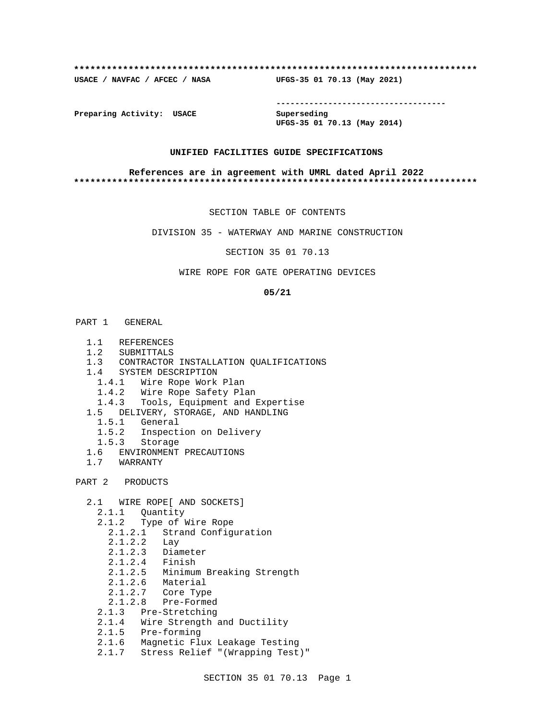### **\*\*\*\*\*\*\*\*\*\*\*\*\*\*\*\*\*\*\*\*\*\*\*\*\*\*\*\*\*\*\*\*\*\*\*\*\*\*\*\*\*\*\*\*\*\*\*\*\*\*\*\*\*\*\*\*\*\*\*\*\*\*\*\*\*\*\*\*\*\*\*\*\*\***

**USACE / NAVFAC / AFCEC / NASA UFGS-35 01 70.13 (May 2021)**

**------------------------------------**

**Preparing Activity: USACE Superseding**

**UFGS-35 01 70.13 (May 2014)**

### **UNIFIED FACILITIES GUIDE SPECIFICATIONS**

### **References are in agreement with UMRL dated April 2022 \*\*\*\*\*\*\*\*\*\*\*\*\*\*\*\*\*\*\*\*\*\*\*\*\*\*\*\*\*\*\*\*\*\*\*\*\*\*\*\*\*\*\*\*\*\*\*\*\*\*\*\*\*\*\*\*\*\*\*\*\*\*\*\*\*\*\*\*\*\*\*\*\*\***

SECTION TABLE OF CONTENTS

DIVISION 35 - WATERWAY AND MARINE CONSTRUCTION

SECTION 35 01 70.13

## WIRE ROPE FOR GATE OPERATING DEVICES

### **05/21**

- PART 1 GENERAL
	- 1.1 REFERENCES
	- 1.2 SUBMITTALS
	- 1.3 CONTRACTOR INSTALLATION QUALIFICATIONS
	- 1.4 SYSTEM DESCRIPTION
		- 1.4.1 Wire Rope Work Plan
		- 1.4.2 Wire Rope Safety Plan
		- 1.4.3 Tools, Equipment and Expertise
	- 1.5 DELIVERY, STORAGE, AND HANDLING
	- 1.5.1 General
	- 1.5.2 Inspection on Delivery
	- 1.5.3 Storage
	- 1.6 ENVIRONMENT PRECAUTIONS
	- 1.7 WARRANTY

PART 2 PRODUCTS

- 2.1 WIRE ROPE[ AND SOCKETS]
- 2.1.1 Quantity
- 2.1.2 Type of Wire Rope
- 2.1.2.1 Strand Configuration
- 2.1.2.2 Lay
	- 2.1.2.3 Diameter
	- 2.1.2.4 Finish
	- 2.1.2.5 Minimum Breaking Strength
	- 2.1.2.6 Material
	- 2.1.2.7 Core Type
	- 2.1.2.8 Pre-Formed
	- 2.1.3 Pre-Stretching
	- 2.1.4 Wire Strength and Ductility
- 2.1.5 Pre-forming
- 2.1.6 Magnetic Flux Leakage Testing
	- 2.1.7 Stress Relief "(Wrapping Test)"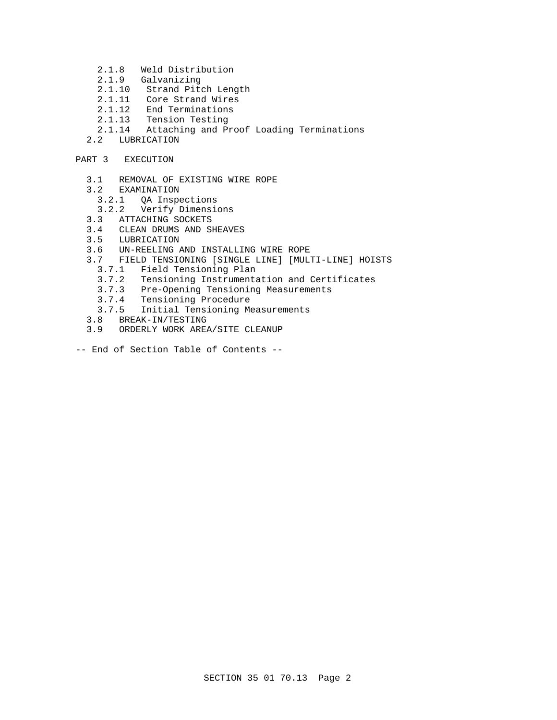- 2.1.8 Weld Distribution
- 2.1.9 Galvanizing
- 2.1.10 Strand Pitch Length
- 2.1.11 Core Strand Wires
- 2.1.12 End Terminations
- 2.1.13 Tension Testing
- 2.1.14 Attaching and Proof Loading Terminations
- 2.2 LUBRICATION

# PART 3 EXECUTION

- 3.1 REMOVAL OF EXISTING WIRE ROPE
- 3.2 EXAMINATION
	- 3.2.1 QA Inspections
- 3.2.2 Verify Dimensions
- 3.3 ATTACHING SOCKETS
- 3.4 CLEAN DRUMS AND SHEAVES
- 3.5 LUBRICATION
- 3.6 UN-REELING AND INSTALLING WIRE ROPE
- 3.7 FIELD TENSIONING [SINGLE LINE] [MULTI-LINE] HOISTS
	- 3.7.1 Field Tensioning Plan
	- 3.7.2 Tensioning Instrumentation and Certificates
	- 3.7.3 Pre-Opening Tensioning Measurements
	- 3.7.4 Tensioning Procedure
	- 3.7.5 Initial Tensioning Measurements
- 3.8 BREAK-IN/TESTING
- 3.9 ORDERLY WORK AREA/SITE CLEANUP
- -- End of Section Table of Contents --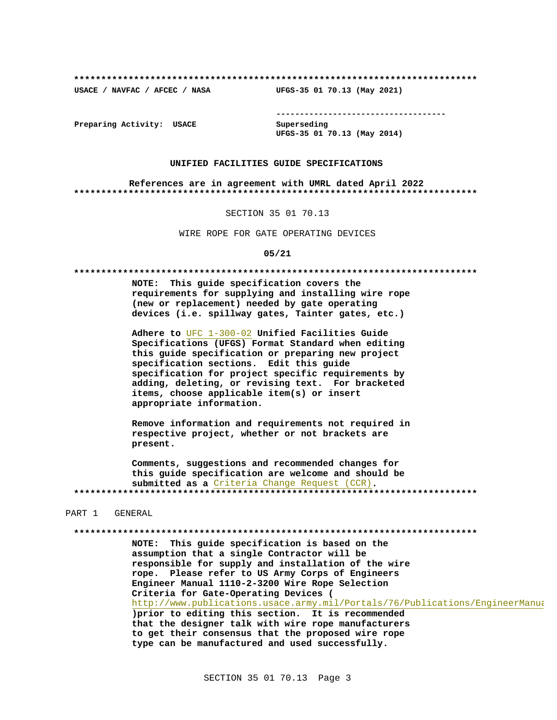USACE / NAVFAC / AFCEC / NASA

--------------------------------------

Preparing Activity: USACE

Superseding UFGS-35 01 70.13 (May 2014)

UFGS-35 01 70.13 (May 2021)

### UNIFIED FACILITIES GUIDE SPECIFICATIONS

References are in agreement with UMRL dated April 2022 

### SECTION 35 01 70.13

WIRE ROPE FOR GATE OPERATING DEVICES

### $05/21$

NOTE: This guide specification covers the requirements for supplying and installing wire rope (new or replacement) needed by gate operating devices (i.e. spillway gates, Tainter gates, etc.)

Adhere to UFC 1-300-02 Unified Facilities Guide Specifications (UFGS) Format Standard when editing this guide specification or preparing new project specification sections. Edit this guide specification for project specific requirements by adding, deleting, or revising text. For bracketed items, choose applicable item(s) or insert appropriate information.

Remove information and requirements not required in respective project, whether or not brackets are present.

Comments, suggestions and recommended changes for this guide specification are welcome and should be submitted as a Criteria Change Request (CCR). 

### PART 1 GENERAL

NOTE: This guide specification is based on the assumption that a single Contractor will be responsible for supply and installation of the wire rope. Please refer to US Army Corps of Engineers Engineer Manual 1110-2-3200 Wire Rope Selection Criteria for Gate-Operating Devices ( http://www.publications.usace.army.mil/Portals/76/Publications/EngineerManua ) prior to editing this section. It is recommended that the designer talk with wire rope manufacturers to get their consensus that the proposed wire rope type can be manufactured and used successfully.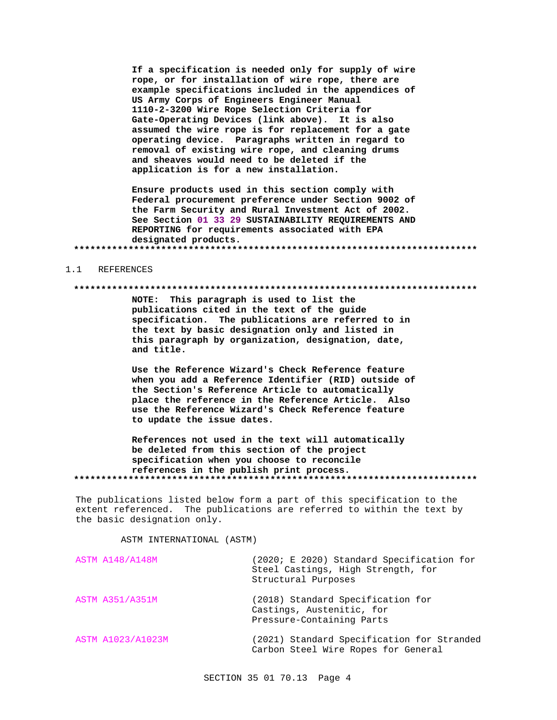If a specification is needed only for supply of wire rope, or for installation of wire rope, there are example specifications included in the appendices of US Army Corps of Engineers Engineer Manual 1110-2-3200 Wire Rope Selection Criteria for Gate-Operating Devices (link above). It is also assumed the wire rope is for replacement for a gate operating device. Paragraphs written in regard to removal of existing wire rope, and cleaning drums and sheaves would need to be deleted if the application is for a new installation.

Ensure products used in this section comply with Federal procurement preference under Section 9002 of the Farm Security and Rural Investment Act of 2002. See Section 01 33 29 SUSTAINABILITY REQUIREMENTS AND REPORTING for requirements associated with EPA designated products. 

#### REFERENCES  $1.1$

## 

NOTE: This paragraph is used to list the publications cited in the text of the guide specification. The publications are referred to in the text by basic designation only and listed in this paragraph by organization, designation, date, and title.

Use the Reference Wizard's Check Reference feature when you add a Reference Identifier (RID) outside of the Section's Reference Article to automatically place the reference in the Reference Article. Also use the Reference Wizard's Check Reference feature to update the issue dates.

References not used in the text will automatically be deleted from this section of the project specification when you choose to reconcile references in the publish print process. 

The publications listed below form a part of this specification to the extent referenced. The publications are referred to within the text by the basic designation only.

ASTM INTERNATIONAL (ASTM)

| <b>ASTM A148/A148M</b> | (2020; E 2020) Standard Specification for<br>Steel Castings, High Strength, for<br>Structural Purposes |
|------------------------|--------------------------------------------------------------------------------------------------------|
| <b>ASTM A351/A351M</b> | (2018) Standard Specification for<br>Castings, Austenitic, for<br>Pressure-Containing Parts            |
| ASTM A1023/A1023M      | (2021) Standard Specification for Stranded<br>Carbon Steel Wire Ropes for General                      |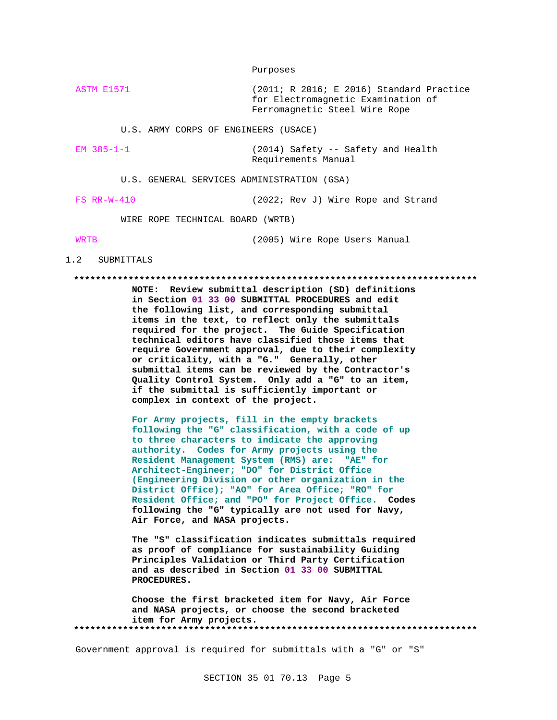Purposes

ASTM E1571 (2011; R 2016; E 2016) Standard Practice for Electromagnetic Examination of Ferromagnetic Steel Wire Rope

U.S. ARMY CORPS OF ENGINEERS (USACE)

EM 385-1-1 (2014) Safety -- Safety and Health Requirements Manual

U.S. GENERAL SERVICES ADMINISTRATION (GSA)

FS RR-W-410 (2022; Rev J) Wire Rope and Strand

WIRE ROPE TECHNICAL BOARD (WRTB)

WRTB (2005) Wire Rope Users Manual

### 1.2 SUBMITTALS

### **\*\*\*\*\*\*\*\*\*\*\*\*\*\*\*\*\*\*\*\*\*\*\*\*\*\*\*\*\*\*\*\*\*\*\*\*\*\*\*\*\*\*\*\*\*\*\*\*\*\*\*\*\*\*\*\*\*\*\*\*\*\*\*\*\*\*\*\*\*\*\*\*\*\***

**NOTE: Review submittal description (SD) definitions in Section 01 33 00 SUBMITTAL PROCEDURES and edit the following list, and corresponding submittal items in the text, to reflect only the submittals required for the project. The Guide Specification technical editors have classified those items that require Government approval, due to their complexity or criticality, with a "G." Generally, other submittal items can be reviewed by the Contractor's Quality Control System. Only add a "G" to an item, if the submittal is sufficiently important or complex in context of the project.**

**For Army projects, fill in the empty brackets following the "G" classification, with a code of up to three characters to indicate the approving authority. Codes for Army projects using the Resident Management System (RMS) are: "AE" for Architect-Engineer; "DO" for District Office (Engineering Division or other organization in the District Office); "AO" for Area Office; "RO" for Resident Office; and "PO" for Project Office. Codes following the "G" typically are not used for Navy, Air Force, and NASA projects.**

**The "S" classification indicates submittals required as proof of compliance for sustainability Guiding Principles Validation or Third Party Certification and as described in Section 01 33 00 SUBMITTAL PROCEDURES.**

**Choose the first bracketed item for Navy, Air Force and NASA projects, or choose the second bracketed item for Army projects. \*\*\*\*\*\*\*\*\*\*\*\*\*\*\*\*\*\*\*\*\*\*\*\*\*\*\*\*\*\*\*\*\*\*\*\*\*\*\*\*\*\*\*\*\*\*\*\*\*\*\*\*\*\*\*\*\*\*\*\*\*\*\*\*\*\*\*\*\*\*\*\*\*\***

Government approval is required for submittals with a "G" or "S"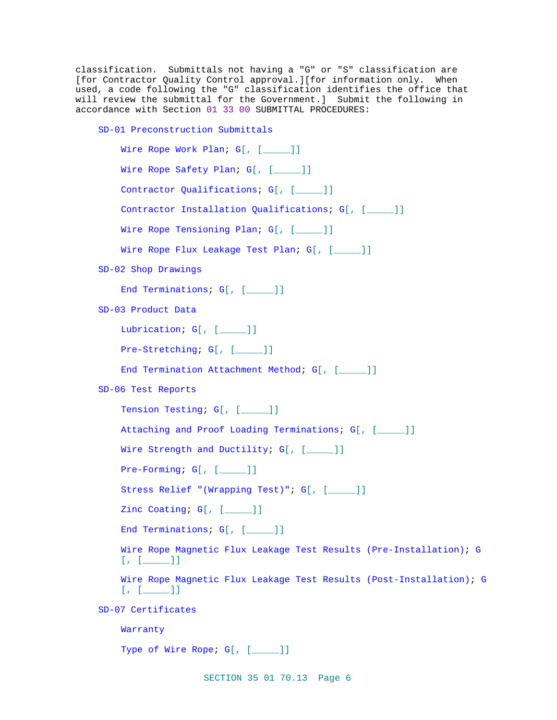classification. Submittals not having a "G" or "S" classification are [for Contractor Quality Control approval.][for information only. When used, a code following the "G" classification identifies the office that will review the submittal for the Government.] Submit the following in accordance with Section 01 33 00 SUBMITTAL PROCEDURES:

SD-01 Preconstruction Submittals

```
Wire Rope Work Plan; G[, [____]]
    Wire Rope Safety Plan; G[, [____]]
    Contractor Qualifications; G[, [_____]]
    Contractor Installation Qualifications; G[, [_____]]
    Wire Rope Tensioning Plan; G[, [____]]
    Wire Rope Flux Leakage Test Plan; G[, [____]]
SD-02 Shop Drawings
    End Terminations; G[, [_____]]
SD-03 Product Data
    Lubrication; G[, [____]]
    Pre-Stretching; G[, [____]]
    End Termination Attachment Method; G[, [_____]]
SD-06 Test Reports
    Tension Testing; G[, [____]]
    Attaching and Proof Loading Terminations; G[, [_____]]
    Wire Strength and Ductility; G[, [____]]
    Pre-Forming; G[, [____]]
    Stress Relief "(Wrapping Test)"; G[, [_____]]
    Zinc Coating; G[, [____]]
    End Terminations; G[, [_____]]
    Wire Rope Magnetic Flux Leakage Test Results (Pre-Installation); G
    [ , [ ] ]Wire Rope Magnetic Flux Leakage Test Results (Post-Installation); G
    [ , [ \_ \_ ] ]SD-07 Certificates
    Warranty
    Type of Wire Rope; G[, [____]]
```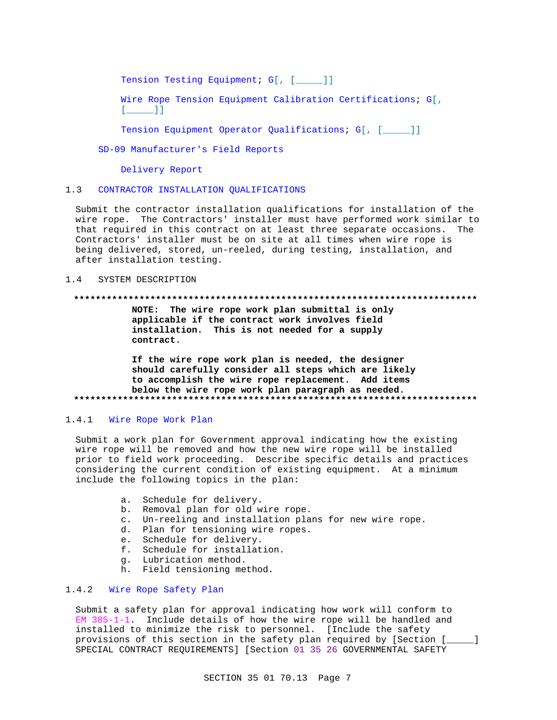Tension Testing Equipment; G[, [\_\_\_\_]]

Wire Rope Tension Equipment Calibration Certifications; G[,  $\begin{bmatrix} 1 & 1 \end{bmatrix}$ 

Tension Equipment Operator Qualifications; G[, [\_\_\_\_]]

SD-09 Manufacturer's Field Reports

Delivery Report

#### $1.3$ CONTRACTOR INSTALLATION OUALIFICATIONS

Submit the contractor installation qualifications for installation of the wire rope. The Contractors' installer must have performed work similar to that required in this contract on at least three separate occasions. The Contractors' installer must be on site at all times when wire rope is being delivered, stored, un-reeled, during testing, installation, and after installation testing.

#### $1.4$ SYSTEM DESCRIPTION

### 

NOTE: The wire rope work plan submittal is only applicable if the contract work involves field installation. This is not needed for a supply contract.

If the wire rope work plan is needed, the designer should carefully consider all steps which are likely to accomplish the wire rope replacement. Add items below the wire rope work plan paragraph as needed. 

#### $1.4.1$ Wire Rope Work Plan

Submit a work plan for Government approval indicating how the existing wire rope will be removed and how the new wire rope will be installed prior to field work proceeding. Describe specific details and practices considering the current condition of existing equipment. At a minimum include the following topics in the plan:

- a. Schedule for delivery.
- b. Removal plan for old wire rope.
- c. Un-reeling and installation plans for new wire rope.
- d. Plan for tensioning wire ropes.
- e. Schedule for delivery.
- f. Schedule for installation.
- q. Lubrication method.
- h. Field tensioning method.

## 1.4.2 Wire Rope Safety Plan

Submit a safety plan for approval indicating how work will conform to  $EM$  385-1-1. Include details of how the wire rope will be handled and installed to minimize the risk to personnel. [Include the safety provisions of this section in the safety plan required by [Section [\_\_\_\_] SPECIAL CONTRACT REQUIREMENTS] [Section 01 35 26 GOVERNMENTAL SAFETY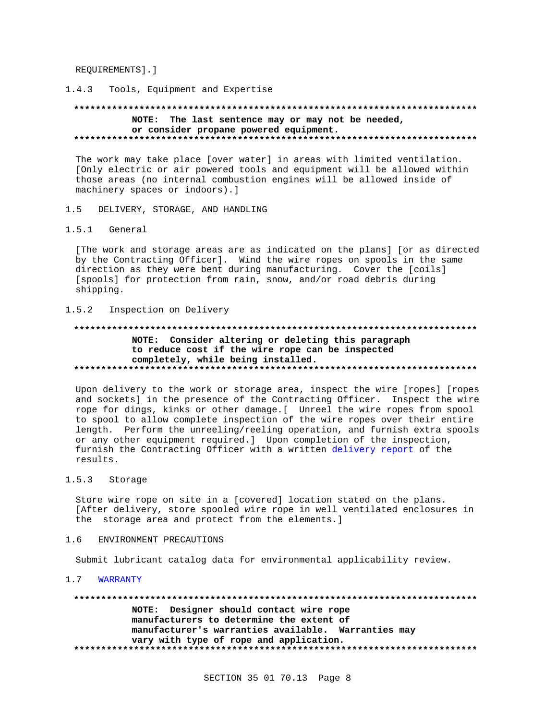REOUIREMENTS ]. ]

Tools, Equipment and Expertise  $1.4.3$ 

NOTE: The last sentence may or may not be needed, or consider propane powered equipment. 

The work may take place [over water] in areas with limited ventilation. [Only electric or air powered tools and equipment will be allowed within those areas (no internal combustion engines will be allowed inside of machinery spaces or indoors).]

- DELIVERY, STORAGE, AND HANDLING  $1.5$
- $1.5.1$ General

[The work and storage areas are as indicated on the plans] [or as directed by the Contracting Officer]. Wind the wire ropes on spools in the same direction as they were bent during manufacturing. Cover the [coils] [spools] for protection from rain, snow, and/or road debris during shipping.

 $1.5.2$ Inspection on Delivery

# NOTE: Consider altering or deleting this paragraph to reduce cost if the wire rope can be inspected completely, while being installed.

Upon delivery to the work or storage area, inspect the wire [ropes] [ropes and sockets] in the presence of the Contracting Officer. Inspect the wire rope for dings, kinks or other damage. [ Unreel the wire ropes from spool to spool to allow complete inspection of the wire ropes over their entire length. Perform the unreeling/reeling operation, and furnish extra spools or any other equipment required.] Upon completion of the inspection, furnish the Contracting Officer with a written delivery report of the results.

 $1.5.3$ Storage

> Store wire rope on site in a [covered] location stated on the plans. [After delivery, store spooled wire rope in well ventilated enclosures in the storage area and protect from the elements.]

ENVIRONMENT PRECAUTIONS  $1.6$ 

Submit lubricant catalog data for environmental applicability review.

1.7 WARRANTY

NOTE: Designer should contact wire rope manufacturers to determine the extent of manufacturer's warranties available. Warranties may vary with type of rope and application.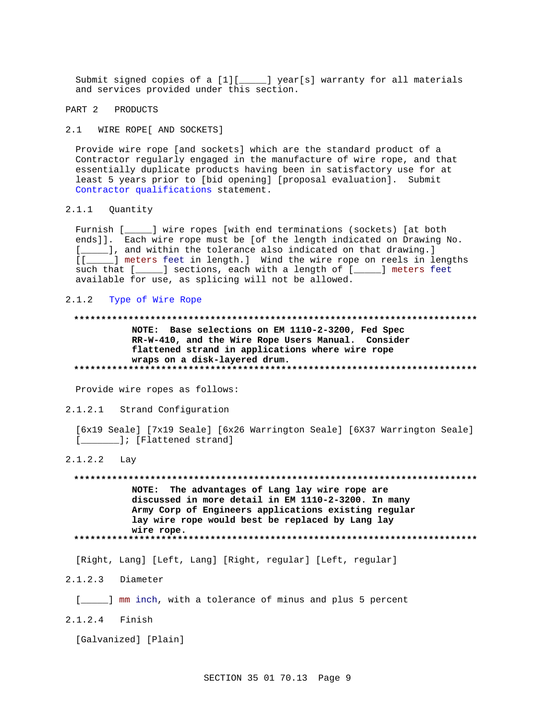Submit signed copies of a [1][\_\_\_\_\_] year[s] warranty for all materials and services provided under this section.

PART 2 PRODUCTS

2.1 WIRE ROPE [ AND SOCKETS ]

Provide wire rope [and sockets] which are the standard product of a Contractor regularly engaged in the manufacture of wire rope, and that essentially duplicate products having been in satisfactory use for at least 5 years prior to [bid opening] [proposal evaluation]. Submit Contractor qualifications statement.

 $2.1.1$ Quantity

> Furnish [\_ \_\_\_] wire ropes [with end terminations (sockets) [at both ends]]. Each wire rope must be [of the length indicated on Drawing No. [\_\_\_\_\_], and within the tolerance also indicated on that drawing.]  $[1]$ \_] meters feet in length.] Wind the wire rope on reels in lengths such that [\_\_\_\_\_] sections, each with a length of [\_\_\_\_\_] meters feet available for use, as splicing will not be allowed.

### 2.1.2 Type of Wire Rope

# NOTE: Base selections on EM 1110-2-3200, Fed Spec RR-W-410, and the Wire Rope Users Manual. Consider flattened strand in applications where wire rope wraps on a disk-layered drum.

Provide wire ropes as follows:

 $2.1.2.1$ Strand Configuration

[6x19 Seale] [7x19 Seale] [6x26 Warrington Seale] [6X37 Warrington Seale] [\_\_\_\_\_\_\_\_]; [Flattened strand]

 $2.1.2.2$ Lay

> NOTE: The advantages of Lang lay wire rope are discussed in more detail in EM 1110-2-3200. In many Army Corp of Engineers applications existing regular lay wire rope would best be replaced by Lang lay wire rope.

[Right, Lang] [Left, Lang] [Right, regular] [Left, regular]

 $2.1.2.3$  Diameter

[\_\_\_\_\_] mm inch, with a tolerance of minus and plus 5 percent

2.1.2.4 Finish

[Galvanized] [Plain]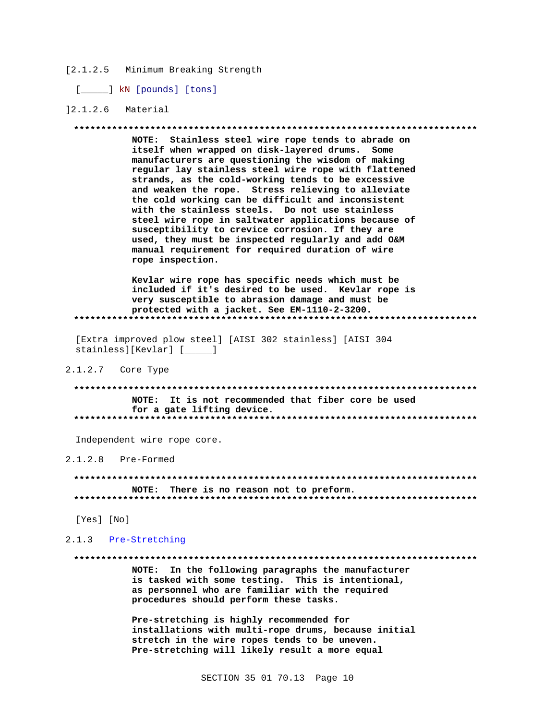### [2.1.2.5 Minimum Breaking Strength

[\_\_\_\_\_] kN [pounds] [tons]

## $]2.1.2.6$  Material

### 

NOTE: Stainless steel wire rope tends to abrade on itself when wrapped on disk-layered drums. Some manufacturers are questioning the wisdom of making regular lay stainless steel wire rope with flattened strands, as the cold-working tends to be excessive and weaken the rope. Stress relieving to alleviate the cold working can be difficult and inconsistent with the stainless steels. Do not use stainless steel wire rope in saltwater applications because of susceptibility to crevice corrosion. If they are used, they must be inspected regularly and add O&M manual requirement for required duration of wire rope inspection.

Kevlar wire rope has specific needs which must be included if it's desired to be used. Kevlar rope is very susceptible to abrasion damage and must be protected with a jacket. See EM-1110-2-3200. \*\*\*\*\*\*\*\*\*\*\*\*\*\*\*\*\*

[Extra improved plow steel] [AISI 302 stainless] [AISI 304 stainless][Kevlar] [\_\_\_\_\_]

## 2.1.2.7 Core Type

NOTE: It is not recommended that fiber core be used for a gate lifting device. 

Independent wire rope core.

### $2.1.2.8$  Pre-Formed

NOTE: There is no reason not to preform. 

[Yes] [No]

## 2.1.3 Pre-Stretching

### 

NOTE: In the following paragraphs the manufacturer is tasked with some testing. This is intentional, as personnel who are familiar with the required procedures should perform these tasks.

Pre-stretching is highly recommended for installations with multi-rope drums, because initial stretch in the wire ropes tends to be uneven. Pre-stretching will likely result a more equal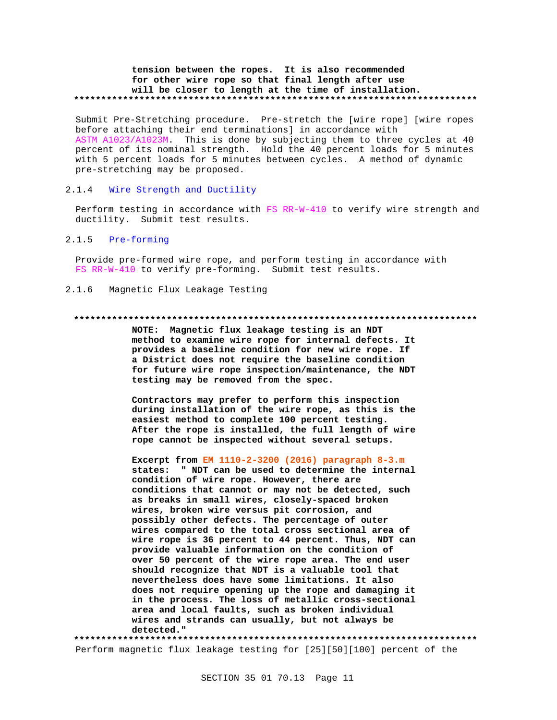## **tension between the ropes. It is also recommended for other wire rope so that final length after use will be closer to length at the time of installation. \*\*\*\*\*\*\*\*\*\*\*\*\*\*\*\*\*\*\*\*\*\*\*\*\*\*\*\*\*\*\*\*\*\*\*\*\*\*\*\*\*\*\*\*\*\*\*\*\*\*\*\*\*\*\*\*\*\*\*\*\*\*\*\*\*\*\*\*\*\*\*\*\*\***

Submit Pre-Stretching procedure. Pre-stretch the [wire rope] [wire ropes before attaching their end terminations] in accordance with ASTM A1023/A1023M. This is done by subjecting them to three cycles at 40 percent of its nominal strength. Hold the 40 percent loads for 5 minutes with 5 percent loads for 5 minutes between cycles. A method of dynamic pre-stretching may be proposed.

## 2.1.4 Wire Strength and Ductility

Perform testing in accordance with FS RR-W-410 to verify wire strength and ductility. Submit test results.

## 2.1.5 Pre-forming

Provide pre-formed wire rope, and perform testing in accordance with FS RR-W-410 to verify pre-forming. Submit test results.

2.1.6 Magnetic Flux Leakage Testing

### **\*\*\*\*\*\*\*\*\*\*\*\*\*\*\*\*\*\*\*\*\*\*\*\*\*\*\*\*\*\*\*\*\*\*\*\*\*\*\*\*\*\*\*\*\*\*\*\*\*\*\*\*\*\*\*\*\*\*\*\*\*\*\*\*\*\*\*\*\*\*\*\*\*\***

**NOTE: Magnetic flux leakage testing is an NDT method to examine wire rope for internal defects. It provides a baseline condition for new wire rope. If a District does not require the baseline condition for future wire rope inspection/maintenance, the NDT testing may be removed from the spec.**

**Contractors may prefer to perform this inspection during installation of the wire rope, as this is the easiest method to complete 100 percent testing. After the rope is installed, the full length of wire rope cannot be inspected without several setups.**

**Excerpt from EM 1110-2-3200 (2016) paragraph 8-3.m states: " NDT can be used to determine the internal condition of wire rope. However, there are conditions that cannot or may not be detected, such as breaks in small wires, closely-spaced broken wires, broken wire versus pit corrosion, and possibly other defects. The percentage of outer wires compared to the total cross sectional area of wire rope is 36 percent to 44 percent. Thus, NDT can provide valuable information on the condition of over 50 percent of the wire rope area. The end user should recognize that NDT is a valuable tool that nevertheless does have some limitations. It also does not require opening up the rope and damaging it in the process. The loss of metallic cross-sectional area and local faults, such as broken individual wires and strands can usually, but not always be detected."**

**\*\*\*\*\*\*\*\*\*\*\*\*\*\*\*\*\*\*\*\*\*\*\*\*\*\*\*\*\*\*\*\*\*\*\*\*\*\*\*\*\*\*\*\*\*\*\*\*\*\*\*\*\*\*\*\*\*\*\*\*\*\*\*\*\*\*\*\*\*\*\*\*\*\*** Perform magnetic flux leakage testing for [25][50][100] percent of the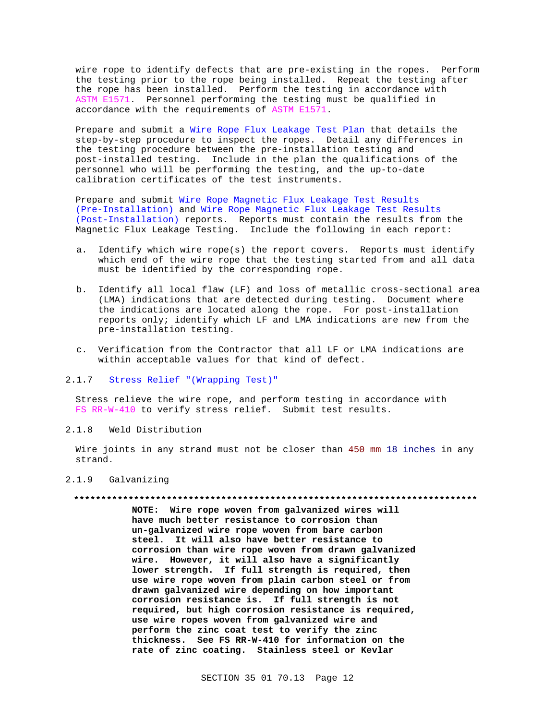wire rope to identify defects that are pre-existing in the ropes. Perform the testing prior to the rope being installed. Repeat the testing after the rope has been installed. Perform the testing in accordance with ASTM E1571. Personnel performing the testing must be qualified in accordance with the requirements of ASTM E1571.

Prepare and submit a Wire Rope Flux Leakage Test Plan that details the step-by-step procedure to inspect the ropes. Detail any differences in the testing procedure between the pre-installation testing and post-installed testing. Include in the plan the qualifications of the personnel who will be performing the testing, and the up-to-date calibration certificates of the test instruments.

Prepare and submit Wire Rope Magnetic Flux Leakage Test Results (Pre-Installation) and Wire Rope Magnetic Flux Leakage Test Results (Post-Installation) reports. Reports must contain the results from the Magnetic Flux Leakage Testing. Include the following in each report:

- a. Identify which wire rope(s) the report covers. Reports must identify which end of the wire rope that the testing started from and all data must be identified by the corresponding rope.
- b. Identify all local flaw (LF) and loss of metallic cross-sectional area (LMA) indications that are detected during testing. Document where the indications are located along the rope. For post-installation reports only; identify which LF and LMA indications are new from the pre-installation testing.
- c. Verification from the Contractor that all LF or LMA indications are within acceptable values for that kind of defect.
- 2.1.7 Stress Relief "(Wrapping Test)"

Stress relieve the wire rope, and perform testing in accordance with FS RR-W-410 to verify stress relief. Submit test results.

 $2.1.8$ Weld Distribution

Wire joints in any strand must not be closer than 450 mm 18 inches in any strand.

#### $2.1.9$ Galvanizing

### 

NOTE: Wire rope woven from galvanized wires will have much better resistance to corrosion than un-galvanized wire rope woven from bare carbon steel. It will also have better resistance to corrosion than wire rope woven from drawn galvanized wire. However, it will also have a significantly lower strength. If full strength is required, then use wire rope woven from plain carbon steel or from drawn galvanized wire depending on how important corrosion resistance is. If full strength is not required, but high corrosion resistance is required, use wire ropes woven from galvanized wire and perform the zinc coat test to verify the zinc thickness. See FS RR-W-410 for information on the rate of zinc coating. Stainless steel or Kevlar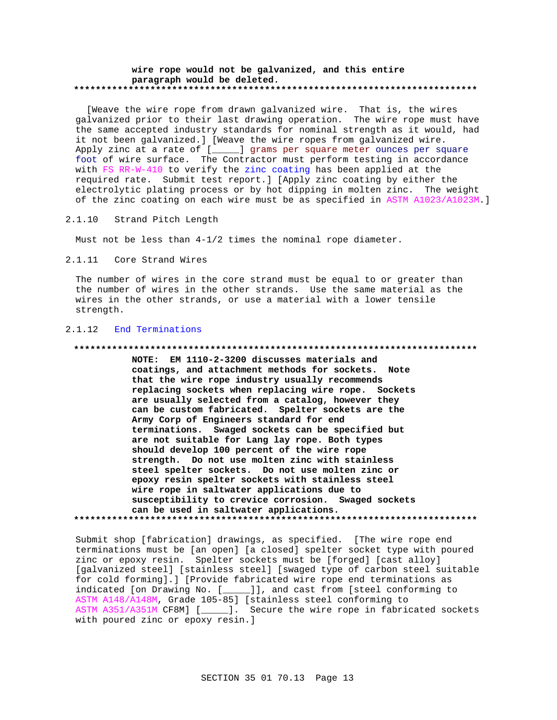### **wire rope would not be galvanized, and this entire paragraph would be deleted. \*\*\*\*\*\*\*\*\*\*\*\*\*\*\*\*\*\*\*\*\*\*\*\*\*\*\*\*\*\*\*\*\*\*\*\*\*\*\*\*\*\*\*\*\*\*\*\*\*\*\*\*\*\*\*\*\*\*\*\*\*\*\*\*\*\*\*\*\*\*\*\*\*\***

 [Weave the wire rope from drawn galvanized wire. That is, the wires galvanized prior to their last drawing operation. The wire rope must have the same accepted industry standards for nominal strength as it would, had it not been galvanized.] [Weave the wire ropes from galvanized wire. Apply zinc at a rate of [\_\_\_\_\_] grams per square meter ounces per square foot of wire surface. The Contractor must perform testing in accordance with FS RR-W-410 to verify the zinc coating has been applied at the required rate. Submit test report.] [Apply zinc coating by either the electrolytic plating process or by hot dipping in molten zinc. The weight of the zinc coating on each wire must be as specified in ASTM A1023/A1023M.]

### 2.1.10 Strand Pitch Length

Must not be less than 4-1/2 times the nominal rope diameter.

2.1.11 Core Strand Wires

The number of wires in the core strand must be equal to or greater than the number of wires in the other strands. Use the same material as the wires in the other strands, or use a material with a lower tensile strength.

## 2.1.12 End Terminations

### **\*\*\*\*\*\*\*\*\*\*\*\*\*\*\*\*\*\*\*\*\*\*\*\*\*\*\*\*\*\*\*\*\*\*\*\*\*\*\*\*\*\*\*\*\*\*\*\*\*\*\*\*\*\*\*\*\*\*\*\*\*\*\*\*\*\*\*\*\*\*\*\*\*\***

**NOTE: EM 1110-2-3200 discusses materials and coatings, and attachment methods for sockets. Note that the wire rope industry usually recommends replacing sockets when replacing wire rope. Sockets are usually selected from a catalog, however they can be custom fabricated. Spelter sockets are the Army Corp of Engineers standard for end terminations. Swaged sockets can be specified but are not suitable for Lang lay rope. Both types should develop 100 percent of the wire rope strength. Do not use molten zinc with stainless steel spelter sockets. Do not use molten zinc or epoxy resin spelter sockets with stainless steel wire rope in saltwater applications due to susceptibility to crevice corrosion. Swaged sockets can be used in saltwater applications. \*\*\*\*\*\*\*\*\*\*\*\*\*\*\*\*\*\*\*\*\*\*\*\*\*\*\*\*\*\*\*\*\*\*\*\*\*\*\*\*\*\*\*\*\*\*\*\*\*\*\*\*\*\*\*\*\*\*\*\*\*\*\*\*\*\*\*\*\*\*\*\*\*\***

Submit shop [fabrication] drawings, as specified. [The wire rope end terminations must be [an open] [a closed] spelter socket type with poured zinc or epoxy resin. Spelter sockets must be [forged] [cast alloy] [galvanized steel] [stainless steel] [swaged type of carbon steel suitable for cold forming].] [Provide fabricated wire rope end terminations as indicated [on Drawing No. [\_\_\_\_\_]], and cast from [steel conforming to ASTM A148/A148M, Grade 105-85] [stainless steel conforming to ASTM A351/A351M CF8M] [\_\_\_\_]. Secure the wire rope in fabricated sockets with poured zinc or epoxy resin.]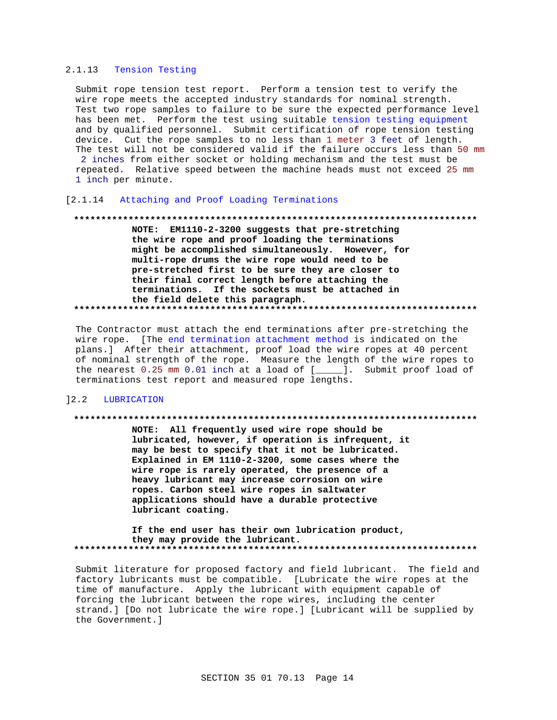## 2.1.13 Tension Testing

Submit rope tension test report. Perform a tension test to verify the wire rope meets the accepted industry standards for nominal strength. Test two rope samples to failure to be sure the expected performance level has been met. Perform the test using suitable tension testing equipment and by qualified personnel. Submit certification of rope tension testing device. Cut the rope samples to no less than 1 meter 3 feet of length. The test will not be considered valid if the failure occurs less than 50 mm 2 inches from either socket or holding mechanism and the test must be repeated. Relative speed between the machine heads must not exceed 25 mm 1 inch per minute.

## [2.1.14 Attaching and Proof Loading Terminations

### 

NOTE: EM1110-2-3200 suggests that pre-stretching the wire rope and proof loading the terminations might be accomplished simultaneously. However, for multi-rope drums the wire rope would need to be pre-stretched first to be sure they are closer to their final correct length before attaching the terminations. If the sockets must be attached in the field delete this paragraph. 

The Contractor must attach the end terminations after pre-stretching the wire rope. [The end termination attachment method is indicated on the plans.] After their attachment, proof load the wire ropes at 40 percent of nominal strength of the rope. Measure the length of the wire ropes to the nearest 0.25 mm 0.01 inch at a load of [\_\_\_\_]. Submit proof load of terminations test report and measured rope lengths.

## 12.2 LUBRICATION

### 

NOTE: All frequently used wire rope should be lubricated, however, if operation is infrequent, it may be best to specify that it not be lubricated. Explained in EM 1110-2-3200, some cases where the wire rope is rarely operated, the presence of a heavy lubricant may increase corrosion on wire ropes. Carbon steel wire ropes in saltwater applications should have a durable protective lubricant coating.

If the end user has their own lubrication product, they may provide the lubricant. 

Submit literature for proposed factory and field lubricant. The field and factory lubricants must be compatible. [Lubricate the wire ropes at the time of manufacture. Apply the lubricant with equipment capable of forcing the lubricant between the rope wires, including the center strand.] [Do not lubricate the wire rope.] [Lubricant will be supplied by the Government. 1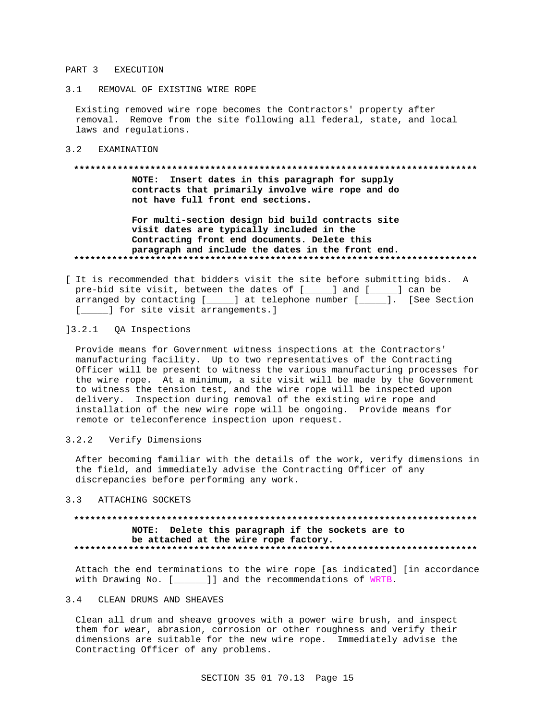### PART 3 EXECUTION

3.1 REMOVAL OF EXISTING WIRE ROPE

Existing removed wire rope becomes the Contractors' property after removal. Remove from the site following all federal, state, and local laws and regulations.

3.2 EXAMINATION

### 

NOTE: Insert dates in this paragraph for supply contracts that primarily involve wire rope and do not have full front end sections.

For multi-section design bid build contracts site visit dates are typically included in the Contracting front end documents. Delete this paragraph and include the dates in the front end. 

[ It is recommended that bidders visit the site before submitting bids. A pre-bid site visit, between the dates of [\_\_\_\_\_] and [\_\_\_\_] can be arranged by contacting [\_\_\_\_\_] at telephone number [\_\_\_\_\_]. [See Section [\_\_\_\_\_] for site visit arrangements.]

## 13.2.1 QA Inspections

Provide means for Government witness inspections at the Contractors' manufacturing facility. Up to two representatives of the Contracting Officer will be present to witness the various manufacturing processes for the wire rope. At a minimum, a site visit will be made by the Government to witness the tension test, and the wire rope will be inspected upon delivery. Inspection during removal of the existing wire rope and installation of the new wire rope will be ongoing. Provide means for remote or teleconference inspection upon request.

#### $3.2.2$ Verify Dimensions

After becoming familiar with the details of the work, verify dimensions in the field, and immediately advise the Contracting Officer of any discrepancies before performing any work.

#### $3.3$ ATTACHING SOCKETS

## NOTE: Delete this paragraph if the sockets are to be attached at the wire rope factory.

Attach the end terminations to the wire rope [as indicated] [in accordance with Drawing No. [\_\_\_\_\_]] and the recommendations of WRTB.

#### $3.4$ CLEAN DRUMS AND SHEAVES

Clean all drum and sheave grooves with a power wire brush, and inspect them for wear, abrasion, corrosion or other roughness and verify their dimensions are suitable for the new wire rope. Immediately advise the Contracting Officer of any problems.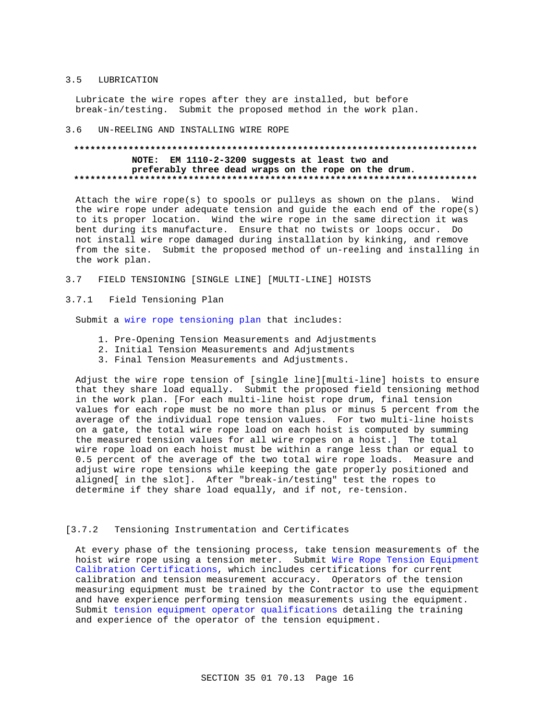#### $3.5$ LUBRICATION

Lubricate the wire ropes after they are installed, but before break-in/testing. Submit the proposed method in the work plan.

#### $3.6$ UN-REELING AND INSTALLING WIRE ROPE

# NOTE: EM 1110-2-3200 suggests at least two and preferably three dead wraps on the rope on the drum.

Attach the wire rope(s) to spools or pulleys as shown on the plans. Wind the wire rope under adequate tension and guide the each end of the rope(s) to its proper location. Wind the wire rope in the same direction it was bent during its manufacture. Ensure that no twists or loops occur. Do not install wire rope damaged during installation by kinking, and remove from the site. Submit the proposed method of un-reeling and installing in the work plan.

 $3.7$ FIELD TENSIONING [SINGLE LINE] [MULTI-LINE] HOISTS

#### Field Tensioning Plan  $3.7.1$

Submit a wire rope tensioning plan that includes:

- 1. Pre-Opening Tension Measurements and Adjustments
- 2. Initial Tension Measurements and Adjustments
- 3. Final Tension Measurements and Adjustments.

Adjust the wire rope tension of [single line][multi-line] hoists to ensure that they share load equally. Submit the proposed field tensioning method in the work plan. [For each multi-line hoist rope drum, final tension values for each rope must be no more than plus or minus 5 percent from the average of the individual rope tension values. For two multi-line hoists on a gate, the total wire rope load on each hoist is computed by summing the measured tension values for all wire ropes on a hoist.] The total wire rope load on each hoist must be within a range less than or equal to 0.5 percent of the average of the two total wire rope loads. Measure and adjust wire rope tensions while keeping the gate properly positioned and aligned[ in the slot]. After "break-in/testing" test the ropes to determine if they share load equally, and if not, re-tension.

#### $[3.7.2]$ Tensioning Instrumentation and Certificates

At every phase of the tensioning process, take tension measurements of the hoist wire rope using a tension meter. Submit Wire Rope Tension Equipment Calibration Certifications, which includes certifications for current calibration and tension measurement accuracy. Operators of the tension measuring equipment must be trained by the Contractor to use the equipment and have experience performing tension measurements using the equipment. Submit tension equipment operator qualifications detailing the training and experience of the operator of the tension equipment.